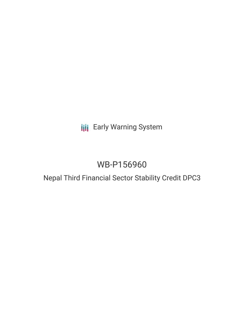## **III** Early Warning System

# WB-P156960

### Nepal Third Financial Sector Stability Credit DPC3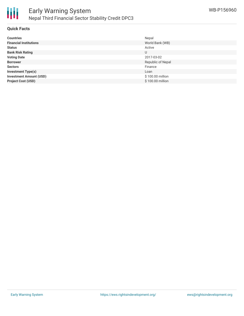

#### **Quick Facts**

| <b>Countries</b>               | Nepal             |
|--------------------------------|-------------------|
| <b>Financial Institutions</b>  | World Bank (WB)   |
| <b>Status</b>                  | Active            |
| <b>Bank Risk Rating</b>        | U                 |
| <b>Voting Date</b>             | 2017-03-02        |
| <b>Borrower</b>                | Republic of Nepal |
| <b>Sectors</b>                 | Finance           |
| <b>Investment Type(s)</b>      | Loan              |
| <b>Investment Amount (USD)</b> | \$100.00 million  |
| <b>Project Cost (USD)</b>      | \$100.00 million  |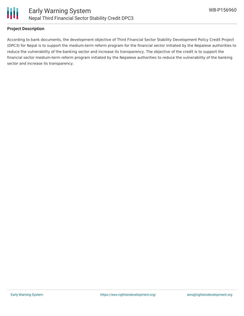

#### **Project Description**

According to bank documents, the development objective of Third Financial Sector Stability Development Policy Credit Project (DPC3) for Nepal is to support the medium-term reform program for the financial sector initiated by the Nepalese authorities to reduce the vulnerability of the banking sector and increase its transparency. The objective of the credit is to support the financial sector medium-term reform program initiated by the Nepalese authorities to reduce the vulnerability of the banking sector and increase its transparency.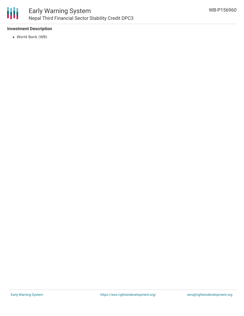

### **Investment Description**

World Bank (WB)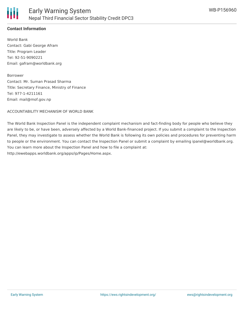

### **Contact Information**

World Bank Contact: Gabi George Afram Title: Program Leader Tel: 92-51-9090221 Email: gafram@worldbank.org

Borrower

Contact: Mr. Suman Prasad Sharma Title: Secretary Finance, Ministry of Finance Tel: 977-1-4211161 Email: mail@mof.gov.np

ACCOUNTABILITY MECHANISM OF WORLD BANK

The World Bank Inspection Panel is the independent complaint mechanism and fact-finding body for people who believe they are likely to be, or have been, adversely affected by a World Bank-financed project. If you submit a complaint to the Inspection Panel, they may investigate to assess whether the World Bank is following its own policies and procedures for preventing harm to people or the environment. You can contact the Inspection Panel or submit a complaint by emailing ipanel@worldbank.org. You can learn more about the Inspection Panel and how to file a complaint at: http://ewebapps.worldbank.org/apps/ip/Pages/Home.aspx.